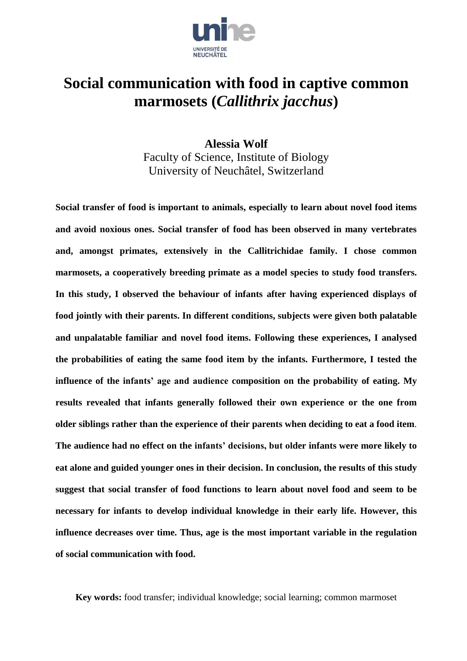

# **Social communication with food in captive common marmosets (***Callithrix jacchus***)**

**Alessia Wolf** Faculty of Science, Institute of Biology University of Neuchâtel, Switzerland

**Social transfer of food is important to animals, especially to learn about novel food items and avoid noxious ones. Social transfer of food has been observed in many vertebrates and, amongst primates, extensively in the Callitrichidae family. I chose common marmosets, a cooperatively breeding primate as a model species to study food transfers. In this study, I observed the behaviour of infants after having experienced displays of food jointly with their parents. In different conditions, subjects were given both palatable and unpalatable familiar and novel food items. Following these experiences, I analysed the probabilities of eating the same food item by the infants. Furthermore, I tested the influence of the infants' age and audience composition on the probability of eating. My results revealed that infants generally followed their own experience or the one from older siblings rather than the experience of their parents when deciding to eat a food item**. **The audience had no effect on the infants' decisions, but older infants were more likely to eat alone and guided younger ones in their decision. In conclusion, the results of this study suggest that social transfer of food functions to learn about novel food and seem to be necessary for infants to develop individual knowledge in their early life. However, this influence decreases over time. Thus, age is the most important variable in the regulation of social communication with food.**

**Key words:** food transfer; individual knowledge; social learning; common marmoset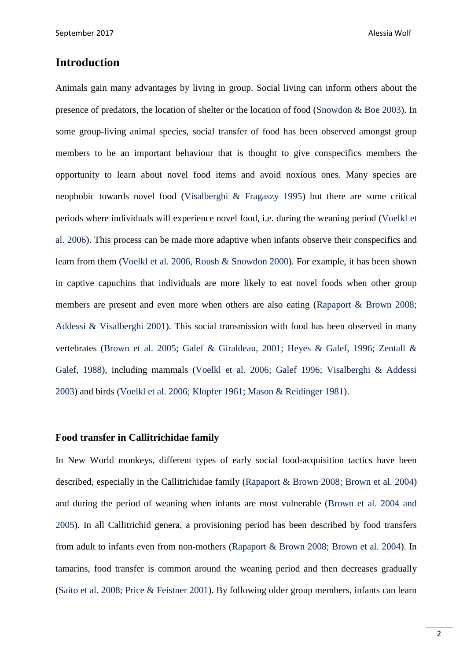# **Introduction**

Animals gain many advantages by living in group. Social living can inform others about the presence of predators, the location of shelter or the location of food (Snowdon & Boe 2003). In some group-living animal species, social transfer of food has been observed amongst group members to be an important behaviour that is thought to give conspecifics members the opportunity to learn about novel food items and avoid noxious ones. Many species are neophobic towards novel food (Visalberghi & Fragaszy 1995) but there are some critical periods where individuals will experience novel food, i.e. during the weaning period (Voelkl et al. 2006). This process can be made more adaptive when infants observe their conspecifics and learn from them (Voelkl et al. 2006, Roush & Snowdon 2000). For example, it has been shown in captive capuchins that individuals are more likely to eat novel foods when other group members are present and even more when others are also eating (Rapaport & Brown 2008; Addessi & Visalberghi 2001). This social transmission with food has been observed in many vertebrates (Brown et al. 2005; Galef & Giraldeau, 2001; Heyes & Galef, 1996; Zentall & Galef, 1988), including mammals (Voelkl et al. 2006; Galef 1996; Visalberghi & Addessi 2003) and birds (Voelkl et al. 2006; Klopfer 1961; Mason & Reidinger 1981).

# **Food transfer in Callitrichidae family**

In New World monkeys, different types of early social food-acquisition tactics have been described, especially in the Callitrichidae family (Rapaport & Brown 2008; Brown et al. 2004) and during the period of weaning when infants are most vulnerable (Brown et al. 2004 and 2005). In all Callitrichid genera, a provisioning period has been described by food transfers from adult to infants even from non-mothers (Rapaport & Brown 2008; Brown et al. 2004). In tamarins, food transfer is common around the weaning period and then decreases gradually (Saito et al. 2008; Price & Feistner 2001). By following older group members, infants can learn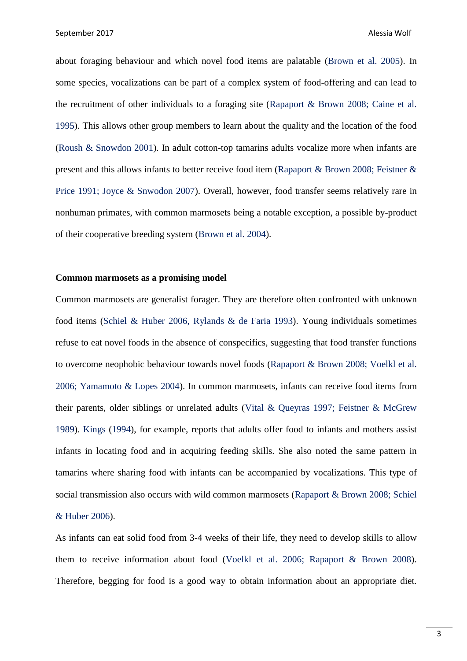about foraging behaviour and which novel food items are palatable (Brown et al. 2005). In some species, vocalizations can be part of a complex system of food-offering and can lead to the recruitment of other individuals to a foraging site (Rapaport & Brown 2008; Caine et al. 1995). This allows other group members to learn about the quality and the location of the food (Roush & Snowdon 2001). In adult cotton-top tamarins adults vocalize more when infants are present and this allows infants to better receive food item (Rapaport & Brown 2008; Feistner & Price 1991; Joyce & Snwodon 2007). Overall, however, food transfer seems relatively rare in nonhuman primates, with common marmosets being a notable exception, a possible by-product of their cooperative breeding system (Brown et al. 2004).

#### **Common marmosets as a promising model**

Common marmosets are generalist forager. They are therefore often confronted with unknown food items (Schiel & Huber 2006, Rylands & de Faria 1993). Young individuals sometimes refuse to eat novel foods in the absence of conspecifics, suggesting that food transfer functions to overcome neophobic behaviour towards novel foods (Rapaport & Brown 2008; Voelkl et al. 2006; Yamamoto & Lopes 2004). In common marmosets, infants can receive food items from their parents, older siblings or unrelated adults (Vital & Queyras 1997; Feistner & McGrew 1989). Kings (1994), for example, reports that adults offer food to infants and mothers assist infants in locating food and in acquiring feeding skills. She also noted the same pattern in tamarins where sharing food with infants can be accompanied by vocalizations. This type of social transmission also occurs with wild common marmosets (Rapaport & Brown 2008; Schiel & Huber 2006).

As infants can eat solid food from 3-4 weeks of their life, they need to develop skills to allow them to receive information about food (Voelkl et al. 2006; Rapaport & Brown 2008). Therefore, begging for food is a good way to obtain information about an appropriate diet.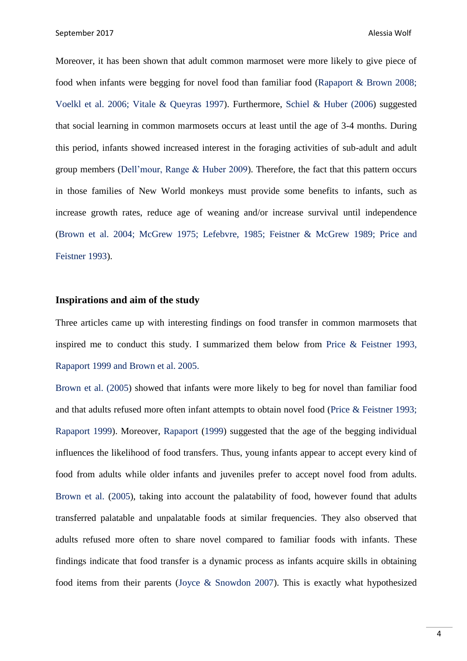Moreover, it has been shown that adult common marmoset were more likely to give piece of food when infants were begging for novel food than familiar food (Rapaport & Brown 2008; Voelkl et al. 2006; Vitale & Queyras 1997). Furthermore, Schiel & Huber (2006) suggested that social learning in common marmosets occurs at least until the age of 3-4 months. During this period, infants showed increased interest in the foraging activities of sub-adult and adult group members (Dell'mour, Range & Huber 2009). Therefore, the fact that this pattern occurs in those families of New World monkeys must provide some benefits to infants, such as increase growth rates, reduce age of weaning and/or increase survival until independence (Brown et al. 2004; McGrew 1975; Lefebvre, 1985; Feistner & McGrew 1989; Price and Feistner 1993).

#### **Inspirations and aim of the study**

Three articles came up with interesting findings on food transfer in common marmosets that inspired me to conduct this study. I summarized them below from Price & Feistner 1993, Rapaport 1999 and Brown et al. 2005.

Brown et al. (2005) showed that infants were more likely to beg for novel than familiar food and that adults refused more often infant attempts to obtain novel food (Price & Feistner 1993; Rapaport 1999). Moreover, Rapaport (1999) suggested that the age of the begging individual influences the likelihood of food transfers. Thus, young infants appear to accept every kind of food from adults while older infants and juveniles prefer to accept novel food from adults. Brown et al. (2005), taking into account the palatability of food, however found that adults transferred palatable and unpalatable foods at similar frequencies. They also observed that adults refused more often to share novel compared to familiar foods with infants. These findings indicate that food transfer is a dynamic process as infants acquire skills in obtaining food items from their parents (Joyce & Snowdon 2007). This is exactly what hypothesized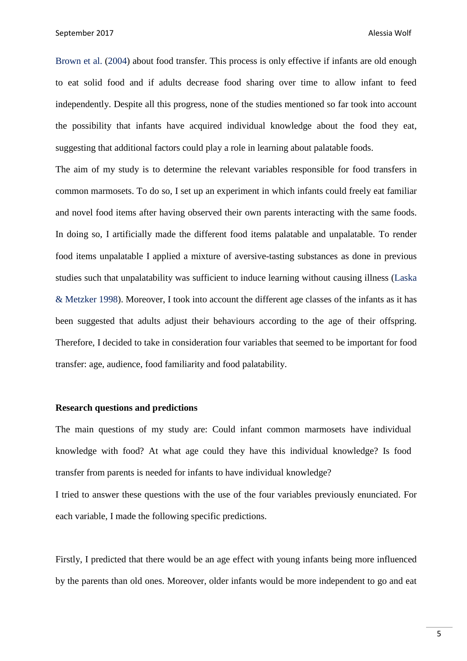Brown et al. (2004) about food transfer. This process is only effective if infants are old enough to eat solid food and if adults decrease food sharing over time to allow infant to feed independently. Despite all this progress, none of the studies mentioned so far took into account the possibility that infants have acquired individual knowledge about the food they eat, suggesting that additional factors could play a role in learning about palatable foods.

The aim of my study is to determine the relevant variables responsible for food transfers in common marmosets. To do so, I set up an experiment in which infants could freely eat familiar and novel food items after having observed their own parents interacting with the same foods. In doing so, I artificially made the different food items palatable and unpalatable. To render food items unpalatable I applied a mixture of aversive-tasting substances as done in previous studies such that unpalatability was sufficient to induce learning without causing illness (Laska & Metzker 1998). Moreover, I took into account the different age classes of the infants as it has been suggested that adults adjust their behaviours according to the age of their offspring. Therefore, I decided to take in consideration four variables that seemed to be important for food transfer: age, audience, food familiarity and food palatability.

#### **Research questions and predictions**

The main questions of my study are: Could infant common marmosets have individual knowledge with food? At what age could they have this individual knowledge? Is food transfer from parents is needed for infants to have individual knowledge?

I tried to answer these questions with the use of the four variables previously enunciated. For each variable, I made the following specific predictions.

Firstly, I predicted that there would be an age effect with young infants being more influenced by the parents than old ones. Moreover, older infants would be more independent to go and eat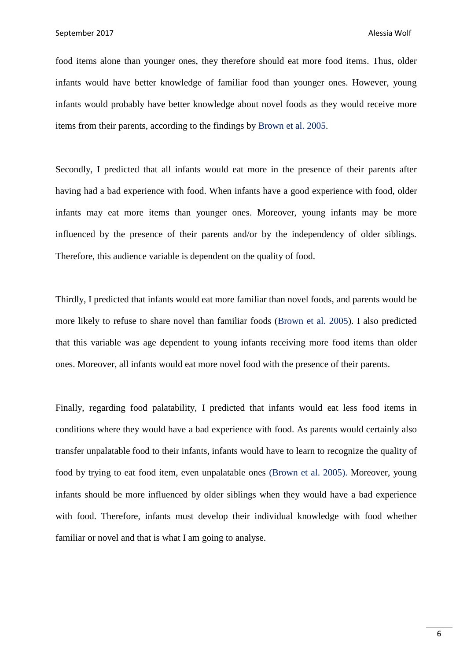food items alone than younger ones, they therefore should eat more food items. Thus, older infants would have better knowledge of familiar food than younger ones. However, young infants would probably have better knowledge about novel foods as they would receive more items from their parents, according to the findings by Brown et al. 2005.

Secondly, I predicted that all infants would eat more in the presence of their parents after having had a bad experience with food. When infants have a good experience with food, older infants may eat more items than younger ones. Moreover, young infants may be more influenced by the presence of their parents and/or by the independency of older siblings. Therefore, this audience variable is dependent on the quality of food.

Thirdly, I predicted that infants would eat more familiar than novel foods, and parents would be more likely to refuse to share novel than familiar foods (Brown et al. 2005). I also predicted that this variable was age dependent to young infants receiving more food items than older ones. Moreover, all infants would eat more novel food with the presence of their parents.

Finally, regarding food palatability, I predicted that infants would eat less food items in conditions where they would have a bad experience with food. As parents would certainly also transfer unpalatable food to their infants, infants would have to learn to recognize the quality of food by trying to eat food item, even unpalatable ones (Brown et al. 2005). Moreover, young infants should be more influenced by older siblings when they would have a bad experience with food. Therefore, infants must develop their individual knowledge with food whether familiar or novel and that is what I am going to analyse.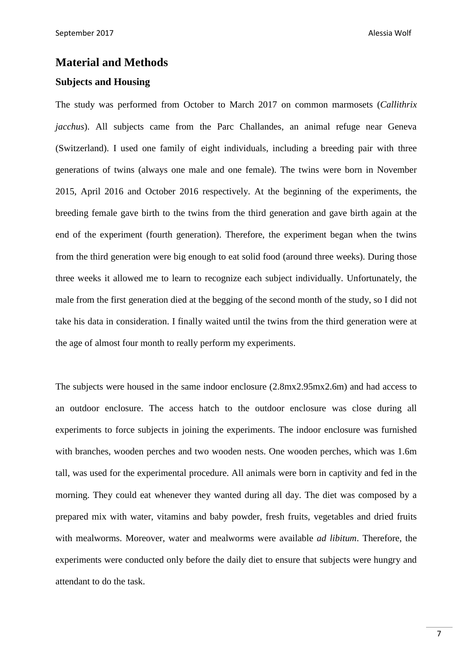# **Material and Methods**

# **Subjects and Housing**

The study was performed from October to March 2017 on common marmosets (*Callithrix jacchus*). All subjects came from the Parc Challandes, an animal refuge near Geneva (Switzerland). I used one family of eight individuals, including a breeding pair with three generations of twins (always one male and one female). The twins were born in November 2015, April 2016 and October 2016 respectively. At the beginning of the experiments, the breeding female gave birth to the twins from the third generation and gave birth again at the end of the experiment (fourth generation). Therefore, the experiment began when the twins from the third generation were big enough to eat solid food (around three weeks). During those three weeks it allowed me to learn to recognize each subject individually. Unfortunately, the male from the first generation died at the begging of the second month of the study, so I did not take his data in consideration. I finally waited until the twins from the third generation were at the age of almost four month to really perform my experiments.

The subjects were housed in the same indoor enclosure (2.8mx2.95mx2.6m) and had access to an outdoor enclosure. The access hatch to the outdoor enclosure was close during all experiments to force subjects in joining the experiments. The indoor enclosure was furnished with branches, wooden perches and two wooden nests. One wooden perches, which was 1.6m tall, was used for the experimental procedure. All animals were born in captivity and fed in the morning. They could eat whenever they wanted during all day. The diet was composed by a prepared mix with water, vitamins and baby powder, fresh fruits, vegetables and dried fruits with mealworms. Moreover, water and mealworms were available *ad libitum*. Therefore, the experiments were conducted only before the daily diet to ensure that subjects were hungry and attendant to do the task.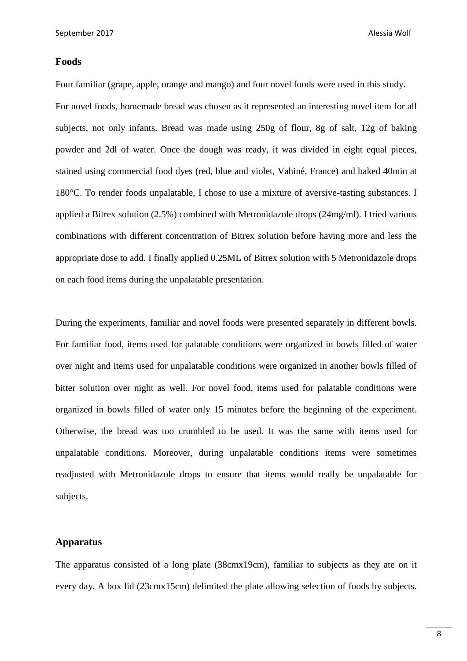# **Foods**

Four familiar (grape, apple, orange and mango) and four novel foods were used in this study. For novel foods, homemade bread was chosen as it represented an interesting novel item for all subjects, not only infants. Bread was made using 250g of flour, 8g of salt, 12g of baking powder and 2dl of water. Once the dough was ready, it was divided in eight equal pieces, stained using commercial food dyes (red, blue and violet, Vahiné, France) and baked 40min at 180°C. To render foods unpalatable, I chose to use a mixture of aversive-tasting substances. I applied a Bitrex solution (2.5%) combined with Metronidazole drops (24mg/ml). I tried various combinations with different concentration of Bitrex solution before having more and less the appropriate dose to add. I finally applied 0.25ML of Bitrex solution with 5 Metronidazole drops on each food items during the unpalatable presentation.

During the experiments, familiar and novel foods were presented separately in different bowls. For familiar food, items used for palatable conditions were organized in bowls filled of water over night and items used for unpalatable conditions were organized in another bowls filled of bitter solution over night as well. For novel food, items used for palatable conditions were organized in bowls filled of water only 15 minutes before the beginning of the experiment. Otherwise, the bread was too crumbled to be used. It was the same with items used for unpalatable conditions. Moreover, during unpalatable conditions items were sometimes readjusted with Metronidazole drops to ensure that items would really be unpalatable for subjects.

# **Apparatus**

The apparatus consisted of a long plate (38cmx19cm), familiar to subjects as they ate on it every day. A box lid (23cmx15cm) delimited the plate allowing selection of foods by subjects.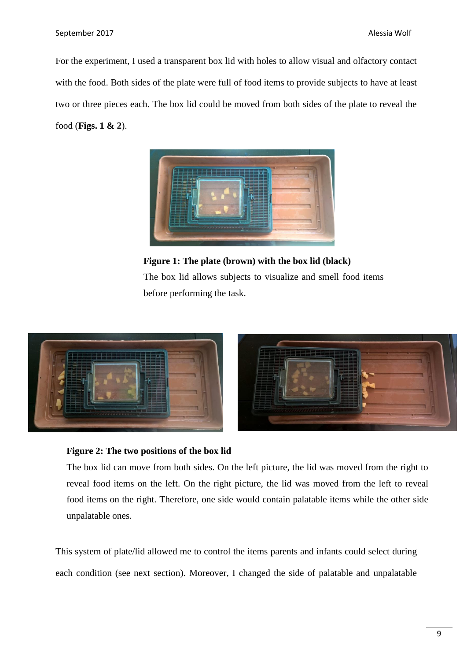For the experiment, I used a transparent box lid with holes to allow visual and olfactory contact with the food. Both sides of the plate were full of food items to provide subjects to have at least two or three pieces each. The box lid could be moved from both sides of the plate to reveal the food (**Figs. 1 & 2**).



**Figure 1: The plate (brown) with the box lid (black)** The box lid allows subjects to visualize and smell food items before performing the task.



# **Figure 2: The two positions of the box lid**

The box lid can move from both sides. On the left picture, the lid was moved from the right to reveal food items on the left. On the right picture, the lid was moved from the left to reveal food items on the right. Therefore, one side would contain palatable items while the other side unpalatable ones.

This system of plate/lid allowed me to control the items parents and infants could select during each condition (see next section). Moreover, I changed the side of palatable and unpalatable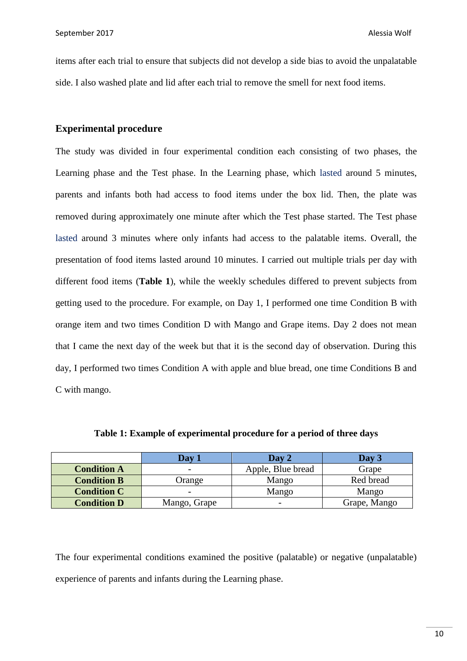items after each trial to ensure that subjects did not develop a side bias to avoid the unpalatable side. I also washed plate and lid after each trial to remove the smell for next food items.

# **Experimental procedure**

The study was divided in four experimental condition each consisting of two phases, the Learning phase and the Test phase. In the Learning phase, which lasted around 5 minutes, parents and infants both had access to food items under the box lid. Then, the plate was removed during approximately one minute after which the Test phase started. The Test phase lasted around 3 minutes where only infants had access to the palatable items. Overall, the presentation of food items lasted around 10 minutes. I carried out multiple trials per day with different food items (**Table 1**), while the weekly schedules differed to prevent subjects from getting used to the procedure. For example, on Day 1, I performed one time Condition B with orange item and two times Condition D with Mango and Grape items. Day 2 does not mean that I came the next day of the week but that it is the second day of observation. During this day, I performed two times Condition A with apple and blue bread, one time Conditions B and C with mango.

|                    | Dav 1                    | Day 2             | Day 3        |
|--------------------|--------------------------|-------------------|--------------|
| <b>Condition A</b> | $\overline{\phantom{0}}$ | Apple, Blue bread | Grape        |
| <b>Condition B</b> | Orange                   | Mango             | Red bread    |
| <b>Condition C</b> | $\overline{\phantom{0}}$ | Mango             | Mango        |
| <b>Condition D</b> | Mango, Grape             |                   | Grape, Mango |

**Table 1: Example of experimental procedure for a period of three days**

The four experimental conditions examined the positive (palatable) or negative (unpalatable) experience of parents and infants during the Learning phase.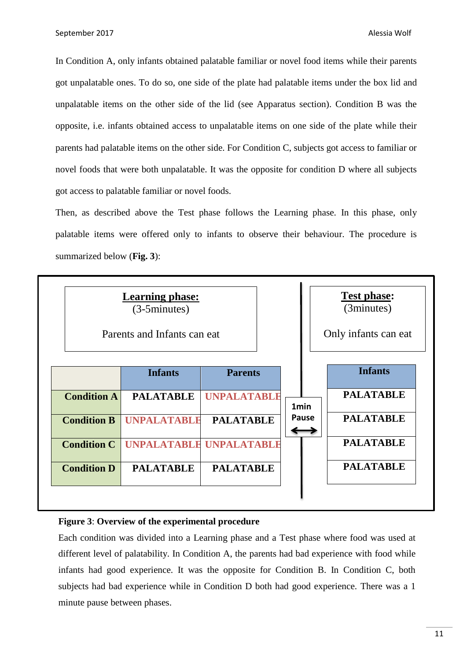In Condition A, only infants obtained palatable familiar or novel food items while their parents got unpalatable ones. To do so, one side of the plate had palatable items under the box lid and unpalatable items on the other side of the lid (see Apparatus section). Condition B was the opposite, i.e. infants obtained access to unpalatable items on one side of the plate while their parents had palatable items on the other side. For Condition C, subjects got access to familiar or novel foods that were both unpalatable. It was the opposite for condition D where all subjects got access to palatable familiar or novel foods.

Then, as described above the Test phase follows the Learning phase. In this phase, only palatable items were offered only to infants to observe their behaviour. The procedure is summarized below (**Fig. 3**):



# **Figure 3**: **Overview of the experimental procedure**

Each condition was divided into a Learning phase and a Test phase where food was used at different level of palatability. In Condition A, the parents had bad experience with food while infants had good experience. It was the opposite for Condition B. In Condition C, both subjects had bad experience while in Condition D both had good experience. There was a 1 minute pause between phases.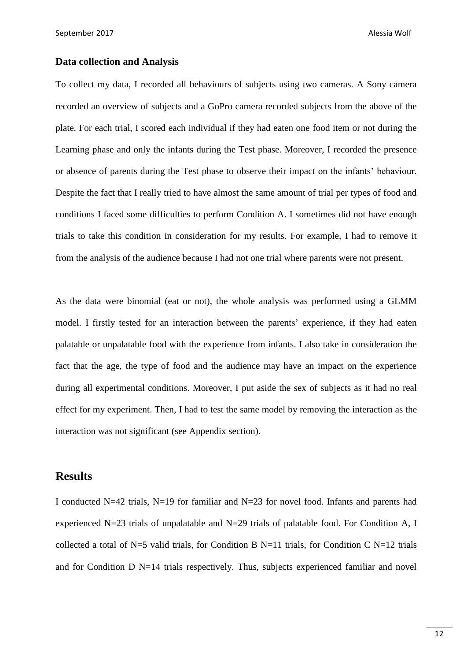# **Data collection and Analysis**

To collect my data, I recorded all behaviours of subjects using two cameras. A Sony camera recorded an overview of subjects and a GoPro camera recorded subjects from the above of the plate. For each trial, I scored each individual if they had eaten one food item or not during the Learning phase and only the infants during the Test phase. Moreover, I recorded the presence or absence of parents during the Test phase to observe their impact on the infants' behaviour. Despite the fact that I really tried to have almost the same amount of trial per types of food and conditions I faced some difficulties to perform Condition A. I sometimes did not have enough trials to take this condition in consideration for my results. For example, I had to remove it from the analysis of the audience because I had not one trial where parents were not present.

As the data were binomial (eat or not), the whole analysis was performed using a GLMM model. I firstly tested for an interaction between the parents' experience, if they had eaten palatable or unpalatable food with the experience from infants. I also take in consideration the fact that the age, the type of food and the audience may have an impact on the experience during all experimental conditions. Moreover, I put aside the sex of subjects as it had no real effect for my experiment. Then, I had to test the same model by removing the interaction as the interaction was not significant (see Appendix section).

# **Results**

I conducted N=42 trials, N=19 for familiar and N=23 for novel food. Infants and parents had experienced N=23 trials of unpalatable and N=29 trials of palatable food. For Condition A, I collected a total of N=5 valid trials, for Condition B N=11 trials, for Condition C N=12 trials and for Condition D N=14 trials respectively. Thus, subjects experienced familiar and novel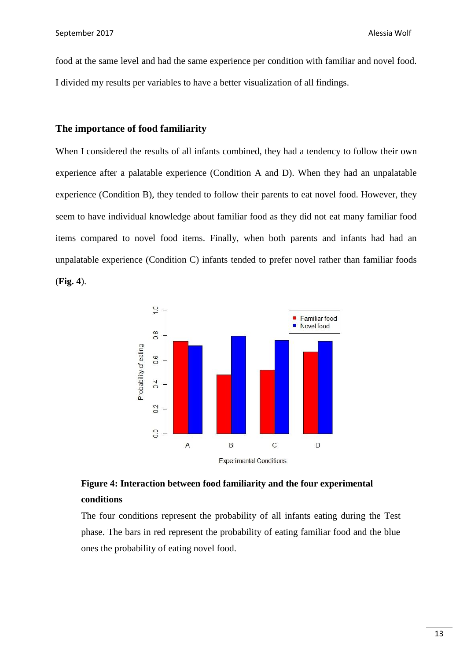food at the same level and had the same experience per condition with familiar and novel food. I divided my results per variables to have a better visualization of all findings.

# **The importance of food familiarity**

When I considered the results of all infants combined, they had a tendency to follow their own experience after a palatable experience (Condition A and D). When they had an unpalatable experience (Condition B), they tended to follow their parents to eat novel food. However, they seem to have individual knowledge about familiar food as they did not eat many familiar food items compared to novel food items. Finally, when both parents and infants had had an unpalatable experience (Condition C) infants tended to prefer novel rather than familiar foods (**Fig. 4**).



# **Figure 4: Interaction between food familiarity and the four experimental conditions**

The four conditions represent the probability of all infants eating during the Test phase. The bars in red represent the probability of eating familiar food and the blue ones the probability of eating novel food.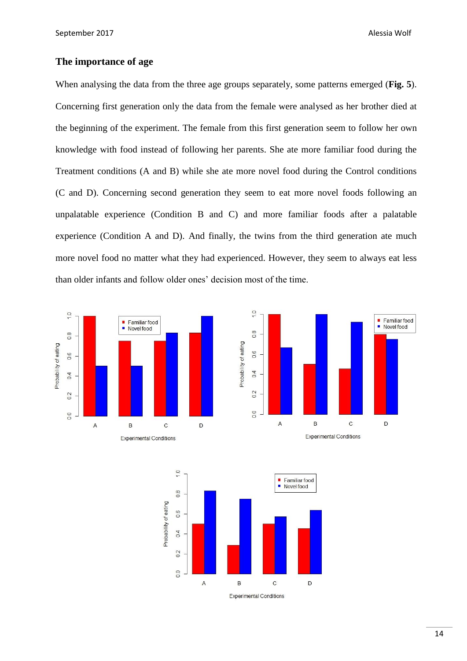# **The importance of age**

When analysing the data from the three age groups separately, some patterns emerged (**Fig. 5**). Concerning first generation only the data from the female were analysed as her brother died at the beginning of the experiment. The female from this first generation seem to follow her own knowledge with food instead of following her parents. She ate more familiar food during the Treatment conditions (A and B) while she ate more novel food during the Control conditions (C and D). Concerning second generation they seem to eat more novel foods following an unpalatable experience (Condition B and C) and more familiar foods after a palatable experience (Condition A and D). And finally, the twins from the third generation ate much more novel food no matter what they had experienced. However, they seem to always eat less than older infants and follow older ones' decision most of the time.





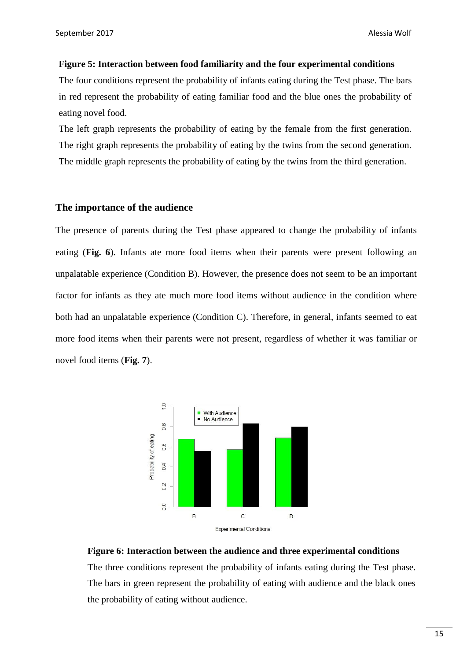#### **Figure 5: Interaction between food familiarity and the four experimental conditions**

The four conditions represent the probability of infants eating during the Test phase. The bars in red represent the probability of eating familiar food and the blue ones the probability of eating novel food.

The left graph represents the probability of eating by the female from the first generation. The right graph represents the probability of eating by the twins from the second generation. The middle graph represents the probability of eating by the twins from the third generation.

# **The importance of the audience**

The presence of parents during the Test phase appeared to change the probability of infants eating (**Fig. 6**). Infants ate more food items when their parents were present following an unpalatable experience (Condition B). However, the presence does not seem to be an important factor for infants as they ate much more food items without audience in the condition where both had an unpalatable experience (Condition C). Therefore, in general, infants seemed to eat more food items when their parents were not present, regardless of whether it was familiar or novel food items (**Fig. 7**).



# **Figure 6: Interaction between the audience and three experimental conditions**

The three conditions represent the probability of infants eating during the Test phase. The bars in green represent the probability of eating with audience and the black ones the probability of eating without audience.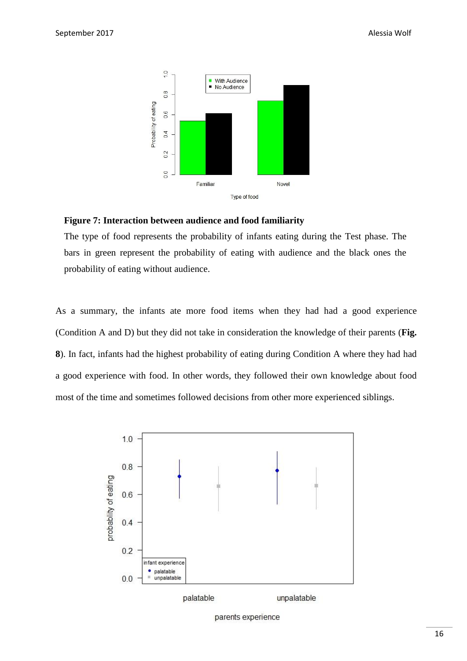

# **Figure 7: Interaction between audience and food familiarity**

The type of food represents the probability of infants eating during the Test phase. The bars in green represent the probability of eating with audience and the black ones the probability of eating without audience.

As a summary, the infants ate more food items when they had had a good experience (Condition A and D) but they did not take in consideration the knowledge of their parents (**Fig. 8**). In fact, infants had the highest probability of eating during Condition A where they had had a good experience with food. In other words, they followed their own knowledge about food most of the time and sometimes followed decisions from other more experienced siblings.



parents experience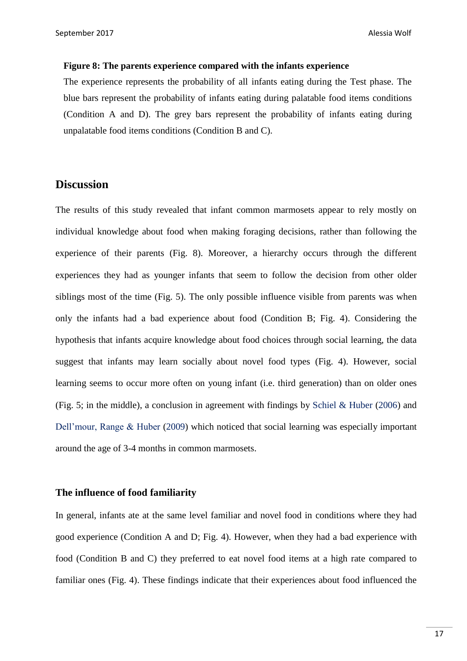#### **Figure 8: The parents experience compared with the infants experience**

The experience represents the probability of all infants eating during the Test phase. The blue bars represent the probability of infants eating during palatable food items conditions (Condition A and D). The grey bars represent the probability of infants eating during unpalatable food items conditions (Condition B and C).

# **Discussion**

The results of this study revealed that infant common marmosets appear to rely mostly on individual knowledge about food when making foraging decisions, rather than following the experience of their parents (Fig. 8). Moreover, a hierarchy occurs through the different experiences they had as younger infants that seem to follow the decision from other older siblings most of the time (Fig. 5). The only possible influence visible from parents was when only the infants had a bad experience about food (Condition B; Fig. 4). Considering the hypothesis that infants acquire knowledge about food choices through social learning, the data suggest that infants may learn socially about novel food types (Fig. 4). However, social learning seems to occur more often on young infant (i.e. third generation) than on older ones (Fig. 5; in the middle), a conclusion in agreement with findings by Schiel & Huber (2006) and Dell'mour, Range & Huber (2009) which noticed that social learning was especially important around the age of 3-4 months in common marmosets.

# **The influence of food familiarity**

In general, infants ate at the same level familiar and novel food in conditions where they had good experience (Condition A and D; Fig. 4). However, when they had a bad experience with food (Condition B and C) they preferred to eat novel food items at a high rate compared to familiar ones (Fig. 4). These findings indicate that their experiences about food influenced the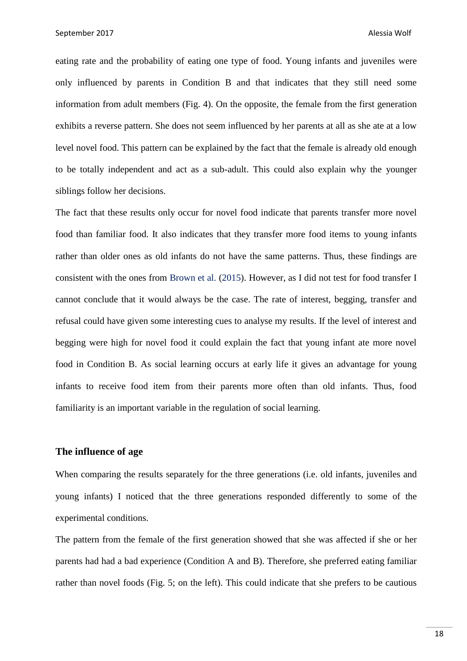eating rate and the probability of eating one type of food. Young infants and juveniles were only influenced by parents in Condition B and that indicates that they still need some information from adult members (Fig. 4). On the opposite, the female from the first generation exhibits a reverse pattern. She does not seem influenced by her parents at all as she ate at a low level novel food. This pattern can be explained by the fact that the female is already old enough to be totally independent and act as a sub-adult. This could also explain why the younger siblings follow her decisions.

The fact that these results only occur for novel food indicate that parents transfer more novel food than familiar food. It also indicates that they transfer more food items to young infants rather than older ones as old infants do not have the same patterns. Thus, these findings are consistent with the ones from Brown et al. (2015). However, as I did not test for food transfer I cannot conclude that it would always be the case. The rate of interest, begging, transfer and refusal could have given some interesting cues to analyse my results. If the level of interest and begging were high for novel food it could explain the fact that young infant ate more novel food in Condition B. As social learning occurs at early life it gives an advantage for young infants to receive food item from their parents more often than old infants. Thus, food familiarity is an important variable in the regulation of social learning.

# **The influence of age**

When comparing the results separately for the three generations (i.e. old infants, juveniles and young infants) I noticed that the three generations responded differently to some of the experimental conditions.

The pattern from the female of the first generation showed that she was affected if she or her parents had had a bad experience (Condition A and B). Therefore, she preferred eating familiar rather than novel foods (Fig. 5; on the left). This could indicate that she prefers to be cautious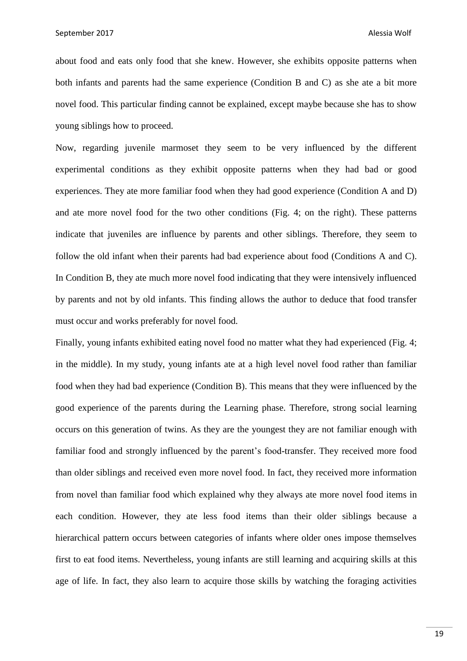September 2017 **Alessia Wolf** Alessia Wolf **Alessia Wolf** Alessia Wolf **Alessia Wolf** 

about food and eats only food that she knew. However, she exhibits opposite patterns when both infants and parents had the same experience (Condition B and C) as she ate a bit more novel food. This particular finding cannot be explained, except maybe because she has to show young siblings how to proceed.

Now, regarding juvenile marmoset they seem to be very influenced by the different experimental conditions as they exhibit opposite patterns when they had bad or good experiences. They ate more familiar food when they had good experience (Condition A and D) and ate more novel food for the two other conditions (Fig. 4; on the right). These patterns indicate that juveniles are influence by parents and other siblings. Therefore, they seem to follow the old infant when their parents had bad experience about food (Conditions A and C). In Condition B, they ate much more novel food indicating that they were intensively influenced by parents and not by old infants. This finding allows the author to deduce that food transfer must occur and works preferably for novel food.

Finally, young infants exhibited eating novel food no matter what they had experienced (Fig. 4; in the middle). In my study, young infants ate at a high level novel food rather than familiar food when they had bad experience (Condition B). This means that they were influenced by the good experience of the parents during the Learning phase. Therefore, strong social learning occurs on this generation of twins. As they are the youngest they are not familiar enough with familiar food and strongly influenced by the parent's food-transfer. They received more food than older siblings and received even more novel food. In fact, they received more information from novel than familiar food which explained why they always ate more novel food items in each condition. However, they ate less food items than their older siblings because a hierarchical pattern occurs between categories of infants where older ones impose themselves first to eat food items. Nevertheless, young infants are still learning and acquiring skills at this age of life. In fact, they also learn to acquire those skills by watching the foraging activities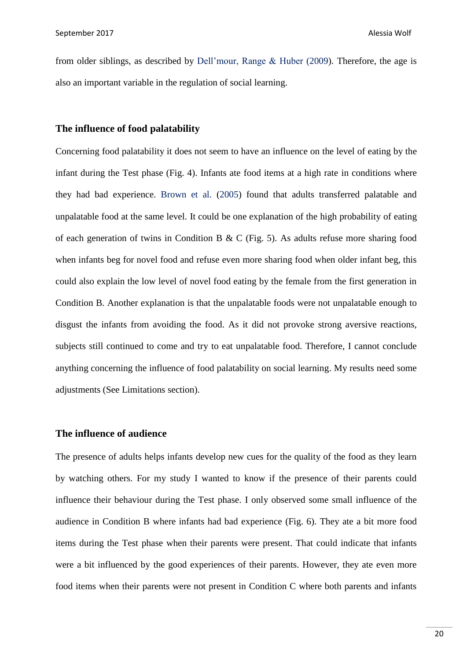from older siblings, as described by Dell'mour, Range & Huber (2009). Therefore, the age is also an important variable in the regulation of social learning.

# **The influence of food palatability**

Concerning food palatability it does not seem to have an influence on the level of eating by the infant during the Test phase (Fig. 4). Infants ate food items at a high rate in conditions where they had bad experience. Brown et al. (2005) found that adults transferred palatable and unpalatable food at the same level. It could be one explanation of the high probability of eating of each generation of twins in Condition B & C (Fig. 5). As adults refuse more sharing food when infants beg for novel food and refuse even more sharing food when older infant beg, this could also explain the low level of novel food eating by the female from the first generation in Condition B. Another explanation is that the unpalatable foods were not unpalatable enough to disgust the infants from avoiding the food. As it did not provoke strong aversive reactions, subjects still continued to come and try to eat unpalatable food. Therefore, I cannot conclude anything concerning the influence of food palatability on social learning. My results need some adjustments (See Limitations section).

#### **The influence of audience**

The presence of adults helps infants develop new cues for the quality of the food as they learn by watching others. For my study I wanted to know if the presence of their parents could influence their behaviour during the Test phase. I only observed some small influence of the audience in Condition B where infants had bad experience (Fig. 6). They ate a bit more food items during the Test phase when their parents were present. That could indicate that infants were a bit influenced by the good experiences of their parents. However, they ate even more food items when their parents were not present in Condition C where both parents and infants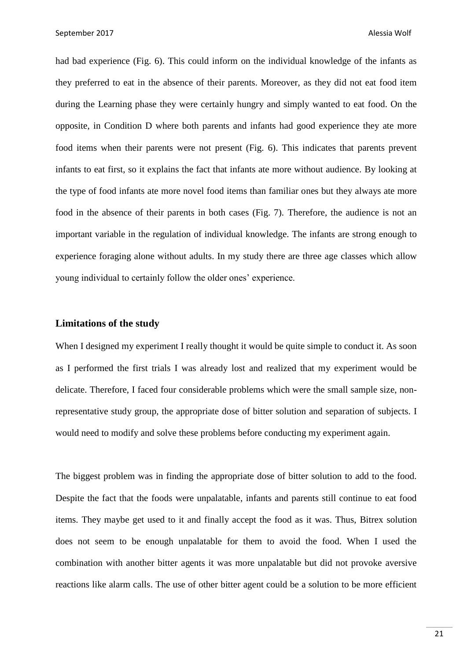had bad experience (Fig. 6). This could inform on the individual knowledge of the infants as they preferred to eat in the absence of their parents. Moreover, as they did not eat food item during the Learning phase they were certainly hungry and simply wanted to eat food. On the opposite, in Condition D where both parents and infants had good experience they ate more food items when their parents were not present (Fig. 6). This indicates that parents prevent infants to eat first, so it explains the fact that infants ate more without audience. By looking at the type of food infants ate more novel food items than familiar ones but they always ate more food in the absence of their parents in both cases (Fig. 7). Therefore, the audience is not an important variable in the regulation of individual knowledge. The infants are strong enough to experience foraging alone without adults. In my study there are three age classes which allow young individual to certainly follow the older ones' experience.

# **Limitations of the study**

When I designed my experiment I really thought it would be quite simple to conduct it. As soon as I performed the first trials I was already lost and realized that my experiment would be delicate. Therefore, I faced four considerable problems which were the small sample size, nonrepresentative study group, the appropriate dose of bitter solution and separation of subjects. I would need to modify and solve these problems before conducting my experiment again.

The biggest problem was in finding the appropriate dose of bitter solution to add to the food. Despite the fact that the foods were unpalatable, infants and parents still continue to eat food items. They maybe get used to it and finally accept the food as it was. Thus, Bitrex solution does not seem to be enough unpalatable for them to avoid the food. When I used the combination with another bitter agents it was more unpalatable but did not provoke aversive reactions like alarm calls. The use of other bitter agent could be a solution to be more efficient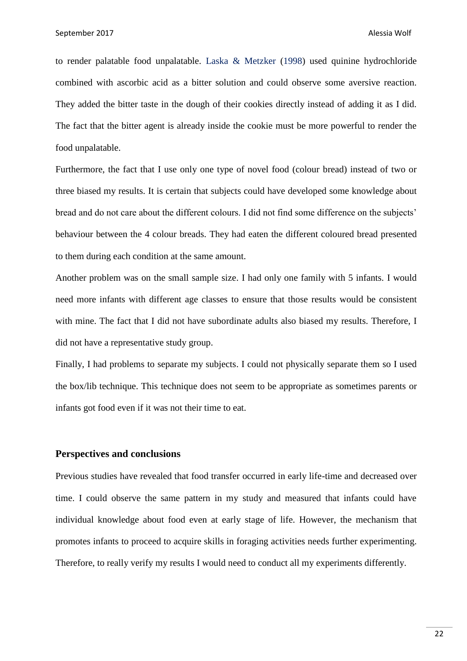to render palatable food unpalatable. Laska & Metzker (1998) used quinine hydrochloride combined with ascorbic acid as a bitter solution and could observe some aversive reaction. They added the bitter taste in the dough of their cookies directly instead of adding it as I did. The fact that the bitter agent is already inside the cookie must be more powerful to render the food unpalatable.

Furthermore, the fact that I use only one type of novel food (colour bread) instead of two or three biased my results. It is certain that subjects could have developed some knowledge about bread and do not care about the different colours. I did not find some difference on the subjects' behaviour between the 4 colour breads. They had eaten the different coloured bread presented to them during each condition at the same amount.

Another problem was on the small sample size. I had only one family with 5 infants. I would need more infants with different age classes to ensure that those results would be consistent with mine. The fact that I did not have subordinate adults also biased my results. Therefore, I did not have a representative study group.

Finally, I had problems to separate my subjects. I could not physically separate them so I used the box/lib technique. This technique does not seem to be appropriate as sometimes parents or infants got food even if it was not their time to eat.

### **Perspectives and conclusions**

Previous studies have revealed that food transfer occurred in early life-time and decreased over time. I could observe the same pattern in my study and measured that infants could have individual knowledge about food even at early stage of life. However, the mechanism that promotes infants to proceed to acquire skills in foraging activities needs further experimenting. Therefore, to really verify my results I would need to conduct all my experiments differently.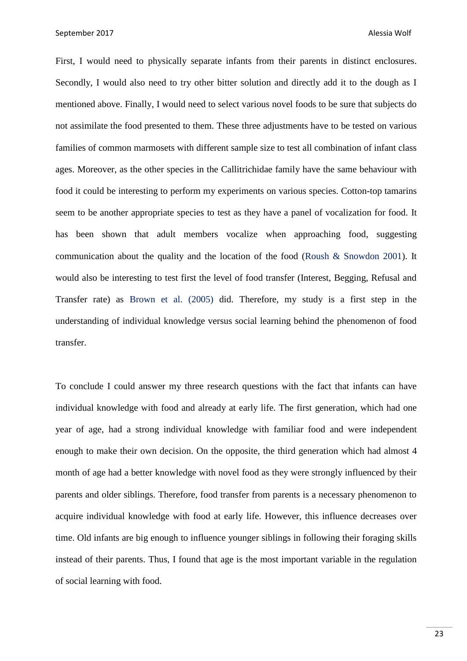First, I would need to physically separate infants from their parents in distinct enclosures. Secondly, I would also need to try other bitter solution and directly add it to the dough as I mentioned above. Finally, I would need to select various novel foods to be sure that subjects do not assimilate the food presented to them. These three adjustments have to be tested on various families of common marmosets with different sample size to test all combination of infant class ages. Moreover, as the other species in the Callitrichidae family have the same behaviour with food it could be interesting to perform my experiments on various species. Cotton-top tamarins seem to be another appropriate species to test as they have a panel of vocalization for food. It has been shown that adult members vocalize when approaching food, suggesting communication about the quality and the location of the food (Roush & Snowdon 2001). It would also be interesting to test first the level of food transfer (Interest, Begging, Refusal and Transfer rate) as Brown et al. (2005) did. Therefore, my study is a first step in the understanding of individual knowledge versus social learning behind the phenomenon of food transfer.

To conclude I could answer my three research questions with the fact that infants can have individual knowledge with food and already at early life. The first generation, which had one year of age, had a strong individual knowledge with familiar food and were independent enough to make their own decision. On the opposite, the third generation which had almost 4 month of age had a better knowledge with novel food as they were strongly influenced by their parents and older siblings. Therefore, food transfer from parents is a necessary phenomenon to acquire individual knowledge with food at early life. However, this influence decreases over time. Old infants are big enough to influence younger siblings in following their foraging skills instead of their parents. Thus, I found that age is the most important variable in the regulation of social learning with food.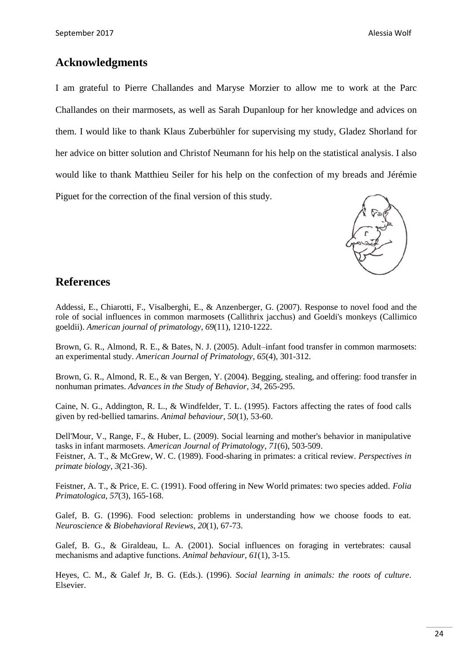# **Acknowledgments**

I am grateful to Pierre Challandes and Maryse Morzier to allow me to work at the Parc Challandes on their marmosets, as well as Sarah Dupanloup for her knowledge and advices on them. I would like to thank Klaus Zuberbühler for supervising my study, Gladez Shorland for her advice on bitter solution and Christof Neumann for his help on the statistical analysis. I also would like to thank Matthieu Seiler for his help on the confection of my breads and Jérémie Piguet for the correction of the final version of this study.



# **References**

Addessi, E., Chiarotti, F., Visalberghi, E., & Anzenberger, G. (2007). Response to novel food and the role of social influences in common marmosets (Callithrix jacchus) and Goeldi's monkeys (Callimico goeldii). *American journal of primatology*, *69*(11), 1210-1222.

Brown, G. R., Almond, R. E., & Bates, N. J. (2005). Adult–infant food transfer in common marmosets: an experimental study. *American Journal of Primatology*, *65*(4), 301-312.

Brown, G. R., Almond, R. E., & van Bergen, Y. (2004). Begging, stealing, and offering: food transfer in nonhuman primates. *Advances in the Study of Behavior*, *34*, 265-295.

Caine, N. G., Addington, R. L., & Windfelder, T. L. (1995). Factors affecting the rates of food calls given by red-bellied tamarins. *Animal behaviour*, *50*(1), 53-60.

Dell'Mour, V., Range, F., & Huber, L. (2009). Social learning and mother's behavior in manipulative tasks in infant marmosets. *American Journal of Primatology*, *71*(6), 503-509. Feistner, A. T., & McGrew, W. C. (1989). Food-sharing in primates: a critical review. *Perspectives in primate biology*, *3*(21-36).

Feistner, A. T., & Price, E. C. (1991). Food offering in New World primates: two species added. *Folia Primatologica*, *57*(3), 165-168.

Galef, B. G. (1996). Food selection: problems in understanding how we choose foods to eat. *Neuroscience & Biobehavioral Reviews*, *20*(1), 67-73.

Galef, B. G., & Giraldeau, L. A. (2001). Social influences on foraging in vertebrates: causal mechanisms and adaptive functions. *Animal behaviour*, *61*(1), 3-15.

Heyes, C. M., & Galef Jr, B. G. (Eds.). (1996). *Social learning in animals: the roots of culture*. Elsevier.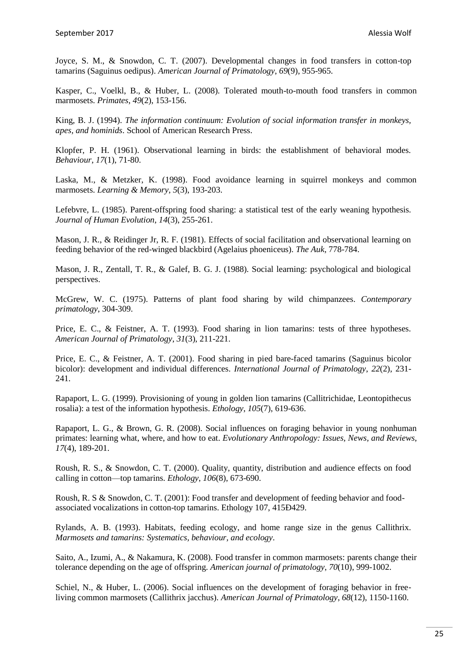Joyce, S. M., & Snowdon, C. T. (2007). Developmental changes in food transfers in cotton‐top tamarins (Saguinus oedipus). *American Journal of Primatology*, *69*(9), 955-965.

Kasper, C., Voelkl, B., & Huber, L. (2008). Tolerated mouth-to-mouth food transfers in common marmosets. *Primates*, *49*(2), 153-156.

King, B. J. (1994). *The information continuum: Evolution of social information transfer in monkeys, apes, and hominids*. School of American Research Press.

Klopfer, P. H. (1961). Observational learning in birds: the establishment of behavioral modes. *Behaviour*, *17*(1), 71-80.

Laska, M., & Metzker, K. (1998). Food avoidance learning in squirrel monkeys and common marmosets. *Learning & Memory*, *5*(3), 193-203.

Lefebvre, L. (1985). Parent-offspring food sharing: a statistical test of the early weaning hypothesis. *Journal of Human Evolution*, *14*(3), 255-261.

Mason, J. R., & Reidinger Jr, R. F. (1981). Effects of social facilitation and observational learning on feeding behavior of the red-winged blackbird (Agelaius phoeniceus). *The Auk*, 778-784.

Mason, J. R., Zentall, T. R., & Galef, B. G. J. (1988). Social learning: psychological and biological perspectives.

McGrew, W. C. (1975). Patterns of plant food sharing by wild chimpanzees. *Contemporary primatology*, 304-309.

Price, E. C., & Feistner, A. T. (1993). Food sharing in lion tamarins: tests of three hypotheses. *American Journal of Primatology*, *31*(3), 211-221.

Price, E. C., & Feistner, A. T. (2001). Food sharing in pied bare-faced tamarins (Saguinus bicolor bicolor): development and individual differences. *International Journal of Primatology*, *22*(2), 231- 241.

Rapaport, L. G. (1999). Provisioning of young in golden lion tamarins (Callitrichidae, Leontopithecus rosalia): a test of the information hypothesis. *Ethology*, *105*(7), 619-636.

Rapaport, L. G., & Brown, G. R. (2008). Social influences on foraging behavior in young nonhuman primates: learning what, where, and how to eat. *Evolutionary Anthropology: Issues, News, and Reviews*, *17*(4), 189-201.

Roush, R. S., & Snowdon, C. T. (2000). Quality, quantity, distribution and audience effects on food calling in cotton—top tamarins. *Ethology*, *106*(8), 673-690.

Roush, R. S & Snowdon, C. T. (2001): Food transfer and development of feeding behavior and foodassociated vocalizations in cotton-top tamarins. Ethology 107, 415Ð429.

Rylands, A. B. (1993). Habitats, feeding ecology, and home range size in the genus Callithrix. *Marmosets and tamarins: Systematics, behaviour, and ecology*.

Saito, A., Izumi, A., & Nakamura, K. (2008). Food transfer in common marmosets: parents change their tolerance depending on the age of offspring. *American journal of primatology*, *70*(10), 999-1002.

Schiel, N., & Huber, L. (2006). Social influences on the development of foraging behavior in freeliving common marmosets (Callithrix jacchus). *American Journal of Primatology*, *68*(12), 1150-1160.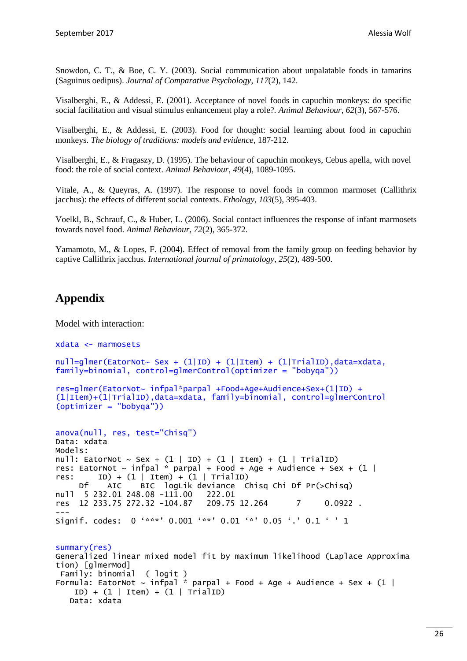Snowdon, C. T., & Boe, C. Y. (2003). Social communication about unpalatable foods in tamarins (Saguinus oedipus). *Journal of Comparative Psychology*, *117*(2), 142.

Visalberghi, E., & Addessi, E. (2001). Acceptance of novel foods in capuchin monkeys: do specific social facilitation and visual stimulus enhancement play a role?. *Animal Behaviour*, *62*(3), 567-576.

Visalberghi, E., & Addessi, E. (2003). Food for thought: social learning about food in capuchin monkeys. *The biology of traditions: models and evidence*, 187-212.

Visalberghi, E., & Fragaszy, D. (1995). The behaviour of capuchin monkeys, Cebus apella, with novel food: the role of social context. *Animal Behaviour*, *49*(4), 1089-1095.

Vitale, A., & Queyras, A. (1997). The response to novel foods in common marmoset (Callithrix jacchus): the effects of different social contexts. *Ethology*, *103*(5), 395-403.

Voelkl, B., Schrauf, C., & Huber, L. (2006). Social contact influences the response of infant marmosets towards novel food. *Animal Behaviour*, *72*(2), 365-372.

Yamamoto, M., & Lopes, F. (2004). Effect of removal from the family group on feeding behavior by captive Callithrix jacchus. *International journal of primatology*, *25*(2), 489-500.

# **Appendix**

Model with interaction:

```
xdata <- marmosets
null = g]mer(EatorNot~ Sex + (1|ID) + (1|Item) + (1|TrialID), data=xdata,
family=binomial, control=glmerControl(optimizer = "bobyqa"))
res=glmer(EatorNot~ infpal*parpal +Food+Age+Audience+Sex+(1|ID) + 
(1|Item)+(1|TrialID),data=xdata, family=binomial, control=glmerControl
(optimizer = "bobyqa"))
anova(null, res, test="Chisq") 
Data: xdata
Models:
null: EatorNot \sim Sex + (1 | ID) + (1 | Item) + (1 | TrialID)
res: EatorNot \sim infpal * parpal + Food + Age + Audience + Sex + (1 |
res: ID) + (1 | Item) + (1 | TrialID)<br>Df AIC BIC loatik deviance C
           AIC BIC logLik deviance Chisq Chi Df Pr(>Chisq)
null 5 232.01 248.08 -111.00 222.01<br>res 12 233.75 272.32 -104.87 209.75 12.264
res 12 233.75 272.32 -104.87 209.75 12.264 7 0.0922 .
---
Signif. codes: 0 '***' 0.001 '**' 0.01 '*' 0.05 '.' 0.1 ' ' 1
summary(res)
Generalized linear mixed model fit by maximum likelihood (Laplace Approxima
tion) [glmerMod]
 Family: binomial ( logit )
Formula: EatorNot \sim infpal * parpal + Food + Age + Audience + Sex + (1 |
    ID) + (1 | Item) + (1 | TrialID) Data: xdata
```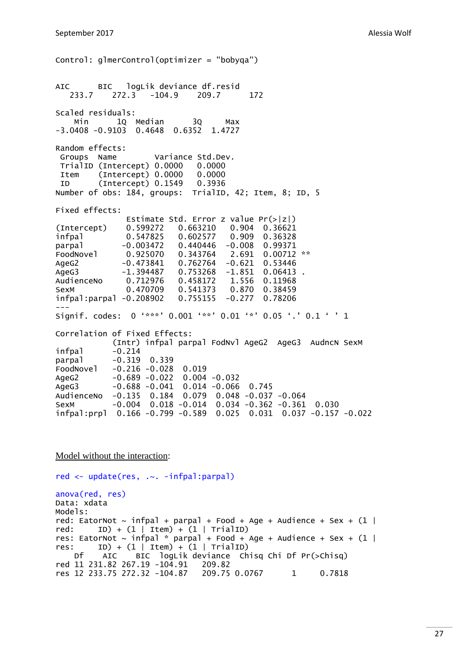Control: glmerControl(optimizer = "bobyqa") AIC BIC logLik deviance df.resid 233.7 272.3 -104.9 209.7 172 Scaled residuals: Min 1Q Median 3Q Max -3.0408 -0.9103 0.4648 0.6352 1.4727 Random effects: Groups Name Variance Std.Dev. TrialID (Intercept) 0.0000 0.0000 Item (Intercept) 0.0000 0.0000 ID (Intercept) 0.1549 0.3936 Number of obs: 184, groups: TrialID, 42; Item, 8; ID, 5 Fixed effects: Estimate Std. Error z value Pr(>|z|) (Intercept) 0.599272 0.663210 0.904 0.36621 infpal 0.547825 0.602577 0.909 0.36328 parpal -0.003472 0.440446 -0.008 0.99371<br>FoodNovel 0.925070 0.343764 2.691 0.00712 FoodNovel 0.925070 0.343764 2.691 0.00712 \*\* AgeG2 -0.473841 0.762764 -0.621 0.53446 AgeG3 -1.394487 0.753268 -1.851 0.06413. AudienceNo 0.712976 0.458172 1.556 0.11968 SexM 0.470709 0.541373 0.870 0.38459 infpal:parpal -0.208902 0.755155 -0.277 0.78206 --- Signif. codes: 0 '\*\*\*' 0.001 '\*\*' 0.01 '\*' 0.05 '.' 0.1 ' ' 1 Correlation of Fixed Effects: (Intr) infpal parpal FodNvl AgeG2 AgeG3 AudncN SexM  $infpal$   $-0.214$ parpal -0.319 0.339 FoodNovel -0.216 -0.028 0.019 AgeG2 -0.689 -0.022 0.004 -0.032 AgeG3 -0.688 -0.041 0.014 -0.066 0.745 AudienceNo -0.135 0.184 0.079 0.048 -0.037 -0.064 SexM -0.004 0.018 -0.014 0.034 -0.362 -0.361 0.030 infpal:prpl 0.166 -0.799 -0.589 0.025 0.031 0.037 -0.157 -0.022

#### Model without the interaction:

red <- update(res, .~. -infpal:parpal) anova(red, res) Data: xdata Models: red: EatorNot  $\sim$  infpal + parpal + Food + Age + Audience + Sex + (1 | red: ID) +  $(1 |$  Item) +  $(1 |$  TrialID) res: EatorNot  $\sim$  infpal \* parpal + Food + Age + Audience + Sex + (1 | res: ID) +  $(1 |$  Item) +  $(1 |$  TrialID) Df AIC BIC logLik deviance Chisq Chi Df Pr(>Chisq) red 11 231.82 267.19 -104.91 209.82 res 12 233.75 272.32 -104.87 209.75 0.0767 1 0.7818